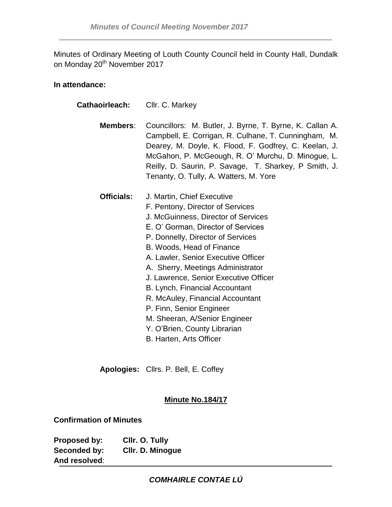Minutes of Ordinary Meeting of Louth County Council held in County Hall, Dundalk on Monday 20<sup>th</sup> November 2017

# **In attendance:**

| <b>Cathaoirleach: Cllr. C. Markey</b> |                                                                                                                                                                                                                                                                                                                                                                                                                                                                                                                                  |
|---------------------------------------|----------------------------------------------------------------------------------------------------------------------------------------------------------------------------------------------------------------------------------------------------------------------------------------------------------------------------------------------------------------------------------------------------------------------------------------------------------------------------------------------------------------------------------|
| Members:                              | Councillors: M. Butler, J. Byrne, T. Byrne, K. Callan A.<br>Campbell, E. Corrigan, R. Culhane, T. Cunningham, M.<br>Dearey, M. Doyle, K. Flood, F. Godfrey, C. Keelan, J.<br>McGahon, P. McGeough, R. O' Murchu, D. Minogue, L.<br>Reilly, D. Saurin, P. Savage, T. Sharkey, P Smith, J.<br>Tenanty, O. Tully, A. Watters, M. Yore                                                                                                                                                                                               |
| <b>Officials:</b>                     | J. Martin, Chief Executive<br>F. Pentony, Director of Services<br>J. McGuinness, Director of Services<br>E. O' Gorman, Director of Services<br>P. Donnelly, Director of Services<br>B. Woods, Head of Finance<br>A. Lawler, Senior Executive Officer<br>A. Sherry, Meetings Administrator<br>J. Lawrence, Senior Executive Officer<br>B. Lynch, Financial Accountant<br>R. McAuley, Financial Accountant<br>P. Finn, Senior Engineer<br>M. Sheeran, A/Senior Engineer<br>Y. O'Brien, County Librarian<br>B. Harten, Arts Officer |

**Apologies:** Cllrs. P. Bell, E. Coffey

# **Minute No.184/17**

**Confirmation of Minutes**

**Proposed by: Cllr. O. Tully Seconded by: Cllr. D. Minogue And resolved**: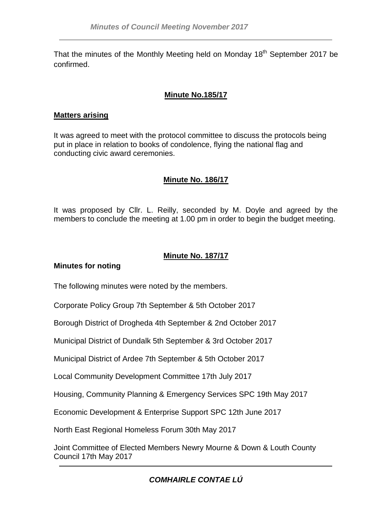That the minutes of the Monthly Meeting held on Monday  $18<sup>th</sup>$  September 2017 be confirmed.

# **Minute No.185/17**

# **Matters arising**

It was agreed to meet with the protocol committee to discuss the protocols being put in place in relation to books of condolence, flying the national flag and conducting civic award ceremonies.

# **Minute No. 186/17**

It was proposed by Cllr. L. Reilly, seconded by M. Doyle and agreed by the members to conclude the meeting at 1.00 pm in order to begin the budget meeting.

# **Minute No. 187/17**

# **Minutes for noting**

The following minutes were noted by the members.

Corporate Policy Group 7th September & 5th October 2017

Borough District of Drogheda 4th September & 2nd October 2017

Municipal District of Dundalk 5th September & 3rd October 2017

Municipal District of Ardee 7th September & 5th October 2017

Local Community Development Committee 17th July 2017

Housing, Community Planning & Emergency Services SPC 19th May 2017

Economic Development & Enterprise Support SPC 12th June 2017

North East Regional Homeless Forum 30th May 2017

Joint Committee of Elected Members Newry Mourne & Down & Louth County Council 17th May 2017

# *COMHAIRLE CONTAE LÚ*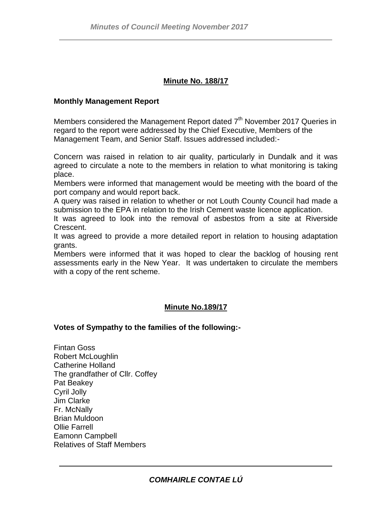# **Minute No. 188/17**

### **Monthly Management Report**

Members considered the Management Report dated  $7<sup>th</sup>$  November 2017 Queries in regard to the report were addressed by the Chief Executive, Members of the Management Team, and Senior Staff. Issues addressed included:-

Concern was raised in relation to air quality, particularly in Dundalk and it was agreed to circulate a note to the members in relation to what monitoring is taking place.

Members were informed that management would be meeting with the board of the port company and would report back.

A query was raised in relation to whether or not Louth County Council had made a submission to the EPA in relation to the Irish Cement waste licence application.

It was agreed to look into the removal of asbestos from a site at Riverside Crescent.

It was agreed to provide a more detailed report in relation to housing adaptation grants.

Members were informed that it was hoped to clear the backlog of housing rent assessments early in the New Year. It was undertaken to circulate the members with a copy of the rent scheme.

# **Minute No.189/17**

#### **Votes of Sympathy to the families of the following:-**

Fintan Goss Robert McLoughlin Catherine Holland The grandfather of Cllr. Coffey Pat Beakey Cyril Jolly Jim Clarke Fr. McNally Brian Muldoon Ollie Farrell Eamonn Campbell Relatives of Staff Members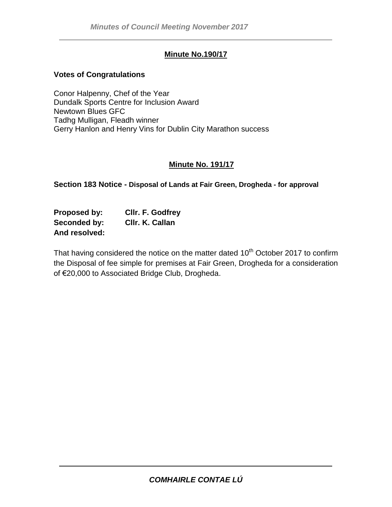# **Minute No.190/17**

### **Votes of Congratulations**

Conor Halpenny, Chef of the Year Dundalk Sports Centre for Inclusion Award Newtown Blues GFC Tadhg Mulligan, Fleadh winner Gerry Hanlon and Henry Vins for Dublin City Marathon success

#### **Minute No. 191/17**

**Section 183 Notice - Disposal of Lands at Fair Green, Drogheda - for approval**

**Proposed by: Cllr. F. Godfrey Seconded by: Cllr. K. Callan And resolved:**

That having considered the notice on the matter dated 10<sup>th</sup> October 2017 to confirm the Disposal of fee simple for premises at Fair Green, Drogheda for a consideration of €20,000 to Associated Bridge Club, Drogheda.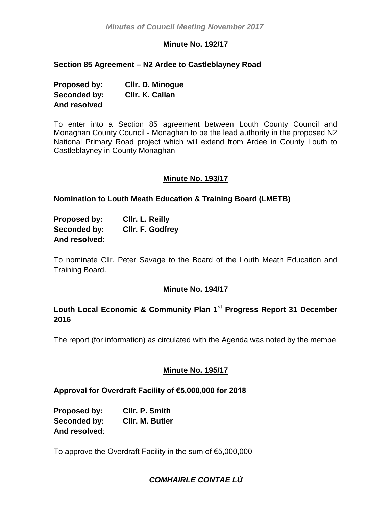# **Minute No. 192/17**

# **Section 85 Agreement – N2 Ardee to Castleblayney Road**

| Proposed by: | <b>CIIr. D. Minogue</b> |
|--------------|-------------------------|
| Seconded by: | CIIr. K. Callan         |
| And resolved |                         |

To enter into a Section 85 agreement between Louth County Council and Monaghan County Council - Monaghan to be the lead authority in the proposed N2 National Primary Road project which will extend from Ardee in County Louth to Castleblayney in County Monaghan

# **Minute No. 193/17**

# **Nomination to Louth Meath Education & Training Board (LMETB)**

| <b>Proposed by:</b> | CIIr. L. Reilly  |
|---------------------|------------------|
| Seconded by:        | CIIr. F. Godfrey |
| And resolved:       |                  |

To nominate Cllr. Peter Savage to the Board of the Louth Meath Education and Training Board.

# **Minute No. 194/17**

# **Louth Local Economic & Community Plan 1st Progress Report 31 December 2016**

The report (for information) as circulated with the Agenda was noted by the membe

# **Minute No. 195/17**

# **Approval for Overdraft Facility of €5,000,000 for 2018**

**Proposed by: Cllr. P. Smith Seconded by: Cllr. M. Butler And resolved**:

To approve the Overdraft Facility in the sum of €5,000,000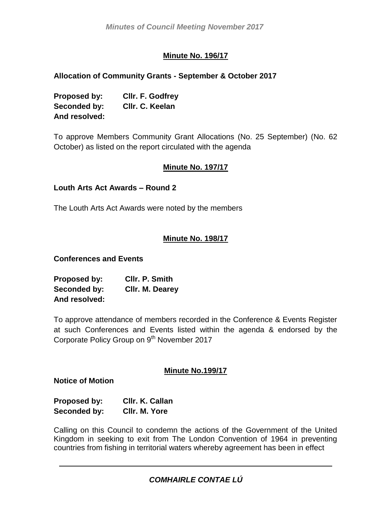# **Minute No. 196/17**

# **Allocation of Community Grants - September & October 2017**

| Proposed by:  | Cllr. F. Godfrey |
|---------------|------------------|
| Seconded by:  | CIIr. C. Keelan  |
| And resolved: |                  |

To approve Members Community Grant Allocations (No. 25 September) (No. 62 October) as listed on the report circulated with the agenda

# **Minute No. 197/17**

# **Louth Arts Act Awards – Round 2**

The Louth Arts Act Awards were noted by the members

# **Minute No. 198/17**

# **Conferences and Events**

| Proposed by:  | CIIr. P. Smith  |
|---------------|-----------------|
| Seconded by:  | Cllr. M. Dearey |
| And resolved: |                 |

To approve attendance of members recorded in the Conference & Events Register at such Conferences and Events listed within the agenda & endorsed by the Corporate Policy Group on 9<sup>th</sup> November 2017

#### **Minute No.199/17**

#### **Notice of Motion**

| Proposed by: | CIIr. K. Callan |
|--------------|-----------------|
| Seconded by: | CIIr. M. Yore   |

Calling on this Council to condemn the actions of the Government of the United Kingdom in seeking to exit from The London Convention of 1964 in preventing countries from fishing in territorial waters whereby agreement has been in effect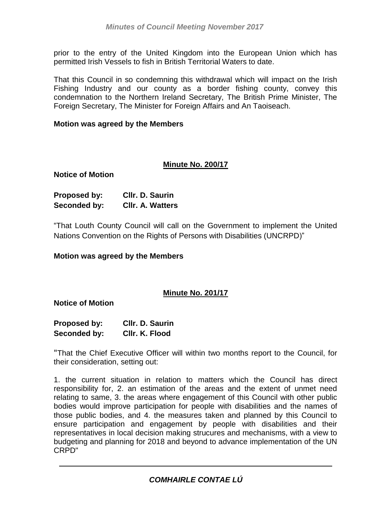prior to the entry of the United Kingdom into the European Union which has permitted Irish Vessels to fish in British Territorial Waters to date.

That this Council in so condemning this withdrawal which will impact on the Irish Fishing Industry and our county as a border fishing county, convey this condemnation to the Northern Ireland Secretary, The British Prime Minister, The Foreign Secretary, The Minister for Foreign Affairs and An Taoiseach.

### **Motion was agreed by the Members**

#### **Minute No. 200/17**

**Notice of Motion**

| Proposed by: | Cllr. D. Saurin         |
|--------------|-------------------------|
| Seconded by: | <b>CIIr. A. Watters</b> |

"That Louth County Council will call on the Government to implement the United Nations Convention on the Rights of Persons with Disabilities (UNCRPD)"

#### **Motion was agreed by the Members**

# **Minute No. 201/17**

**Notice of Motion**

| Proposed by: | CIIr. D. Saurin |
|--------------|-----------------|
| Seconded by: | CIIr. K. Flood  |

"That the Chief Executive Officer will within two months report to the Council, for their consideration, setting out:

1. the current situation in relation to matters which the Council has direct responsibility for, 2. an estimation of the areas and the extent of unmet need relating to same, 3. the areas where engagement of this Council with other public bodies would improve participation for people with disabilities and the names of those public bodies, and 4. the measures taken and planned by this Council to ensure participation and engagement by people with disabilities and their representatives in local decision making strucures and mechanisms, with a view to budgeting and planning for 2018 and beyond to advance implementation of the UN CRPD"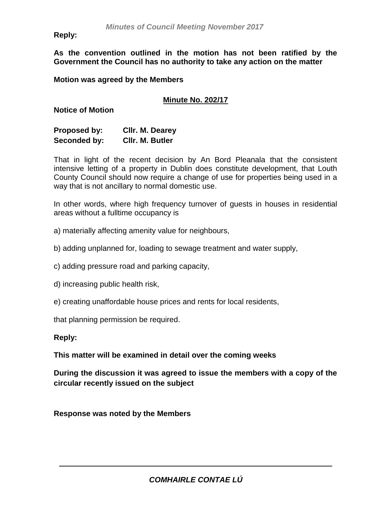**Reply:**

**As the convention outlined in the motion has not been ratified by the Government the Council has no authority to take any action on the matter**

**Motion was agreed by the Members** 

# **Minute No. 202/17**

**Notice of Motion**

| Proposed by: | Cllr. M. Dearey |
|--------------|-----------------|
| Seconded by: | CIIr. M. Butler |

That in light of the recent decision by An Bord Pleanala that the consistent intensive letting of a property in Dublin does constitute development, that Louth County Council should now require a change of use for properties being used in a way that is not ancillary to normal domestic use.

In other words, where high frequency turnover of guests in houses in residential areas without a fulltime occupancy is

- a) materially affecting amenity value for neighbours,
- b) adding unplanned for, loading to sewage treatment and water supply,
- c) adding pressure road and parking capacity,
- d) increasing public health risk,
- e) creating unaffordable house prices and rents for local residents,

that planning permission be required.

#### **Reply:**

**This matter will be examined in detail over the coming weeks**

**During the discussion it was agreed to issue the members with a copy of the circular recently issued on the subject**

**Response was noted by the Members**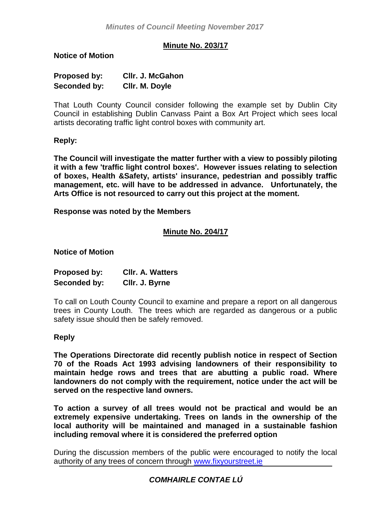# **Minute No. 203/17**

**Notice of Motion**

| Proposed by: | <b>CIIr. J. McGahon</b> |
|--------------|-------------------------|
| Seconded by: | CIIr. M. Doyle          |

That Louth County Council consider following the example set by Dublin City Council in establishing Dublin Canvass Paint a Box Art Project which sees local artists decorating traffic light control boxes with community art.

**Reply:**

**The Council will investigate the matter further with a view to possibly piloting it with a few 'traffic light control boxes'. However issues relating to selection of boxes, Health &Safety, artists' insurance, pedestrian and possibly traffic management, etc. will have to be addressed in advance. Unfortunately, the Arts Office is not resourced to carry out this project at the moment.**

**Response was noted by the Members** 

# **Minute No. 204/17**

**Notice of Motion**

| Proposed by: | <b>CIIr. A. Watters</b> |
|--------------|-------------------------|
| Seconded by: | CIIr. J. Byrne          |

To call on Louth County Council to examine and prepare a report on all dangerous trees in County Louth. The trees which are regarded as dangerous or a public safety issue should then be safely removed.

#### **Reply**

**The Operations Directorate did recently publish notice in respect of Section 70 of the Roads Act 1993 advising landowners of their responsibility to maintain hedge rows and trees that are abutting a public road. Where landowners do not comply with the requirement, notice under the act will be served on the respective land owners.** 

**To action a survey of all trees would not be practical and would be an extremely expensive undertaking. Trees on lands in the ownership of the local authority will be maintained and managed in a sustainable fashion including removal where it is considered the preferred option**

During the discussion members of the public were encouraged to notify the local authority of any trees of concern through [www.fixyourstreet.ie](http://www.fixyourstreet.ie/)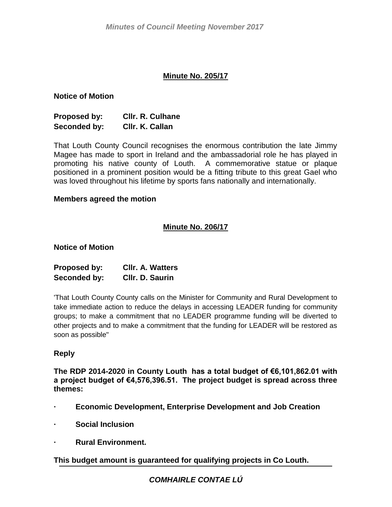# **Minute No. 205/17**

#### **Notice of Motion**

| <b>Proposed by:</b> | <b>CIIr. R. Culhane</b> |
|---------------------|-------------------------|
| Seconded by:        | CIIr. K. Callan         |

That Louth County Council recognises the enormous contribution the late Jimmy Magee has made to sport in Ireland and the ambassadorial role he has played in promoting his native county of Louth. A commemorative statue or plaque positioned in a prominent position would be a fitting tribute to this great Gael who was loved throughout his lifetime by sports fans nationally and internationally.

#### **Members agreed the motion**

# **Minute No. 206/17**

#### **Notice of Motion**

| Proposed by: | <b>CIIr. A. Watters</b> |
|--------------|-------------------------|
| Seconded by: | Cllr. D. Saurin         |

'That Louth County County calls on the Minister for Community and Rural Development to take immediate action to reduce the delays in accessing LEADER funding for community groups; to make a commitment that no LEADER programme funding will be diverted to other projects and to make a commitment that the funding for LEADER will be restored as soon as possible"

# **Reply**

**The RDP 2014-2020 in County Louth has a total budget of €6,101,862.01 with a project budget of €4,576,396.51. The project budget is spread across three themes:**

- **· Economic Development, Enterprise Development and Job Creation**
- **· Social Inclusion**
- **· Rural Environment.**

**This budget amount is guaranteed for qualifying projects in Co Louth.**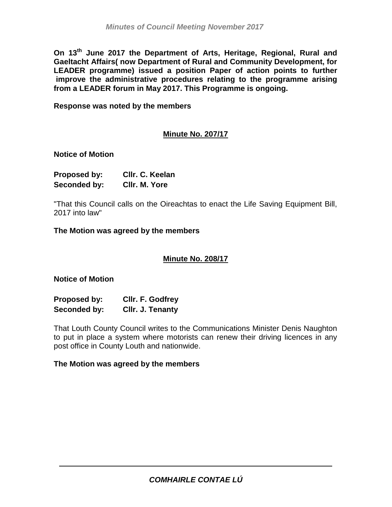**On 13th June 2017 the Department of Arts, Heritage, Regional, Rural and Gaeltacht Affairs( now Department of Rural and Community Development, for LEADER programme) issued a position Paper of action points to further improve the administrative procedures relating to the programme arising from a LEADER forum in May 2017. This Programme is ongoing.**

**Response was noted by the members**

# **Minute No. 207/17**

#### **Notice of Motion**

| <b>Proposed by:</b> | CIIr. C. Keelan |
|---------------------|-----------------|
| Seconded by:        | CIIr. M. Yore   |

"That this Council calls on the Oireachtas to enact the Life Saving Equipment Bill, 2017 into law"

**The Motion was agreed by the members**

# **Minute No. 208/17**

### **Notice of Motion**

| <b>Proposed by:</b> | Cllr. F. Godfrey |
|---------------------|------------------|
| Seconded by:        | Cllr. J. Tenanty |

That Louth County Council writes to the Communications Minister Denis Naughton to put in place a system where motorists can renew their driving licences in any post office in County Louth and nationwide.

#### **The Motion was agreed by the members**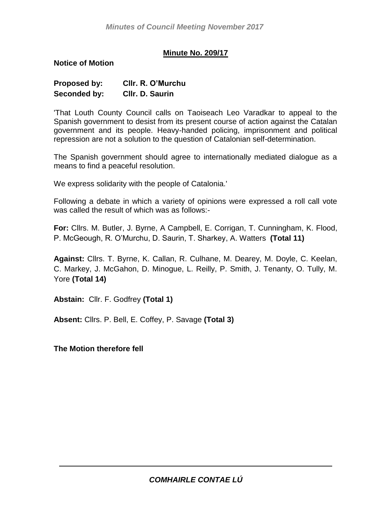# **Minute No. 209/17**

**Notice of Motion**

| <b>Proposed by:</b> | CIIr. R. O'Murchu |
|---------------------|-------------------|
| Seconded by:        | Cllr. D. Saurin   |

'That Louth County Council calls on Taoiseach Leo Varadkar to appeal to the Spanish government to desist from its present course of action against the Catalan government and its people. Heavy-handed policing, imprisonment and political repression are not a solution to the question of Catalonian self-determination.

The Spanish government should agree to internationally mediated dialogue as a means to find a peaceful resolution.

We express solidarity with the people of Catalonia.'

Following a debate in which a variety of opinions were expressed a roll call vote was called the result of which was as follows:-

**For:** Cllrs. M. Butler, J. Byrne, A Campbell, E. Corrigan, T. Cunningham, K. Flood, P. McGeough, R. O'Murchu, D. Saurin, T. Sharkey, A. Watters **(Total 11)**

**Against:** Cllrs. T. Byrne, K. Callan, R. Culhane, M. Dearey, M. Doyle, C. Keelan, C. Markey, J. McGahon, D. Minogue, L. Reilly, P. Smith, J. Tenanty, O. Tully, M. Yore **(Total 14)**

**Abstain:** Cllr. F. Godfrey **(Total 1)**

**Absent:** Cllrs. P. Bell, E. Coffey, P. Savage **(Total 3)**

**The Motion therefore fell**